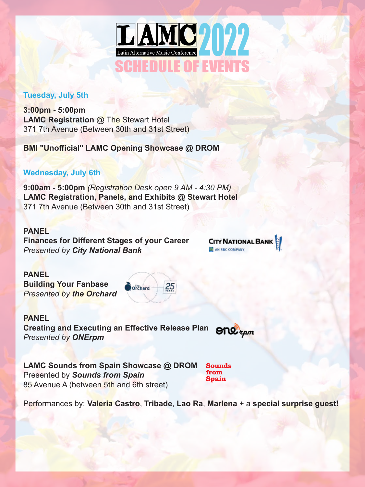

## **Tuesday, July 5th**

**3:00pm - 5:00pm LAMC Registration** @ The Stewart Hotel 371 7th Avenue (Between 30th and 31st Street)

**BMI "Unofficial" LAMC Opening Showcase @ DROM**

# **Wednesday, July 6th**

**9:00am - 5:00pm** *(Registration Desk open 9 AM - 4:30 PM)* **LAMC Registration, Panels, and Exhibits @ Stewart Hotel** 371 7th Avenue (Between 30th and 31st Street)

**PANEL**

**Finances for Different Stages of your Career**  *Presented by City National Bank*

**CITY NATIONAL BANK** AN RBC COMPANY

**PANEL**

**Building Your Fanbase** *Presented by the Orchard*



**PANEL Creating and Executing an Effective Release Plan**  $C_1 \cup C_2$ *Presented by ONErpm*

**LAMC Sounds from Spain Showcase @ DROM**  Presented by *Sounds from Spain* 85 Avenue A (between 5th and 6th street)

**Sounds** from **Spain** 

Performances by: **Valeria Castro**, **Tribade**, **Lao Ra**, **Marlena** + a **special surprise guest!**